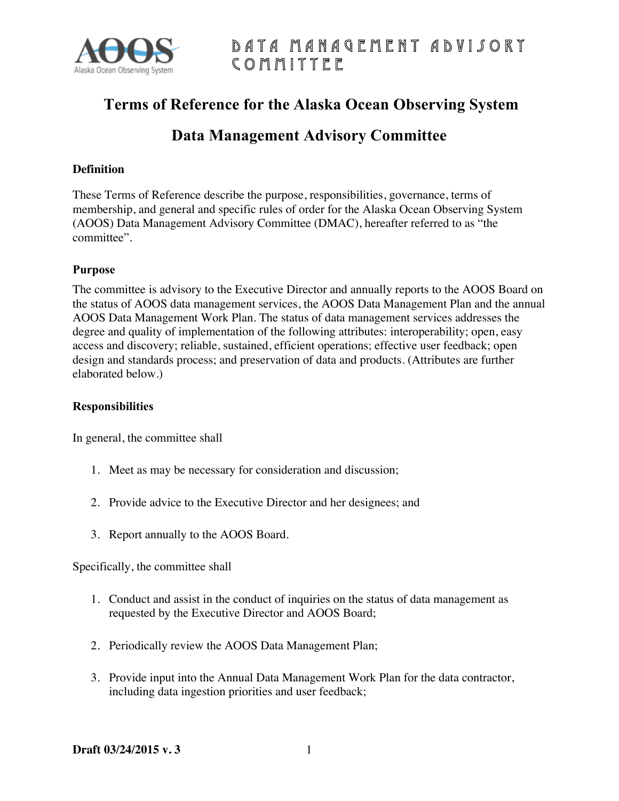

# Data Management Advisory Committee

# **Terms of Reference for the Alaska Ocean Observing System**

# **Data Management Advisory Committee**

#### **Definition**

These Terms of Reference describe the purpose, responsibilities, governance, terms of membership, and general and specific rules of order for the Alaska Ocean Observing System (AOOS) Data Management Advisory Committee (DMAC), hereafter referred to as "the committee".

#### **Purpose**

The committee is advisory to the Executive Director and annually reports to the AOOS Board on the status of AOOS data management services, the AOOS Data Management Plan and the annual AOOS Data Management Work Plan. The status of data management services addresses the degree and quality of implementation of the following attributes: interoperability; open, easy access and discovery; reliable, sustained, efficient operations; effective user feedback; open design and standards process; and preservation of data and products. (Attributes are further elaborated below.)

#### **Responsibilities**

In general, the committee shall

- 1. Meet as may be necessary for consideration and discussion;
- 2. Provide advice to the Executive Director and her designees; and
- 3. Report annually to the AOOS Board.

Specifically, the committee shall

- 1. Conduct and assist in the conduct of inquiries on the status of data management as requested by the Executive Director and AOOS Board;
- 2. Periodically review the AOOS Data Management Plan;
- 3. Provide input into the Annual Data Management Work Plan for the data contractor, including data ingestion priorities and user feedback;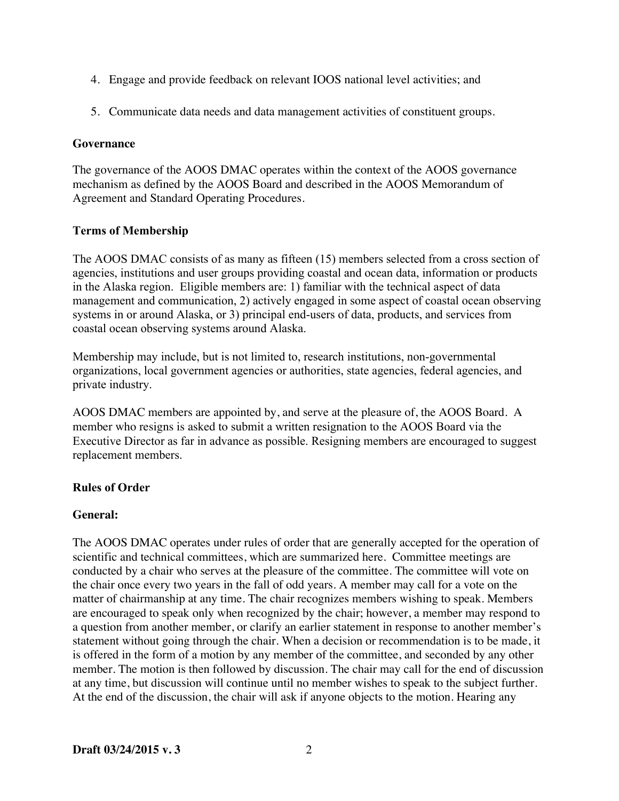- 4. Engage and provide feedback on relevant IOOS national level activities; and
- 5. Communicate data needs and data management activities of constituent groups.

#### **Governance**

The governance of the AOOS DMAC operates within the context of the AOOS governance mechanism as defined by the AOOS Board and described in the AOOS Memorandum of Agreement and Standard Operating Procedures.

## **Terms of Membership**

The AOOS DMAC consists of as many as fifteen (15) members selected from a cross section of agencies, institutions and user groups providing coastal and ocean data, information or products in the Alaska region. Eligible members are: 1) familiar with the technical aspect of data management and communication, 2) actively engaged in some aspect of coastal ocean observing systems in or around Alaska, or 3) principal end-users of data, products, and services from coastal ocean observing systems around Alaska.

Membership may include, but is not limited to, research institutions, non-governmental organizations, local government agencies or authorities, state agencies, federal agencies, and private industry.

AOOS DMAC members are appointed by, and serve at the pleasure of, the AOOS Board. A member who resigns is asked to submit a written resignation to the AOOS Board via the Executive Director as far in advance as possible. Resigning members are encouraged to suggest replacement members.

## **Rules of Order**

## **General:**

The AOOS DMAC operates under rules of order that are generally accepted for the operation of scientific and technical committees, which are summarized here. Committee meetings are conducted by a chair who serves at the pleasure of the committee. The committee will vote on the chair once every two years in the fall of odd years. A member may call for a vote on the matter of chairmanship at any time. The chair recognizes members wishing to speak. Members are encouraged to speak only when recognized by the chair; however, a member may respond to a question from another member, or clarify an earlier statement in response to another member's statement without going through the chair. When a decision or recommendation is to be made, it is offered in the form of a motion by any member of the committee, and seconded by any other member. The motion is then followed by discussion. The chair may call for the end of discussion at any time, but discussion will continue until no member wishes to speak to the subject further. At the end of the discussion, the chair will ask if anyone objects to the motion. Hearing any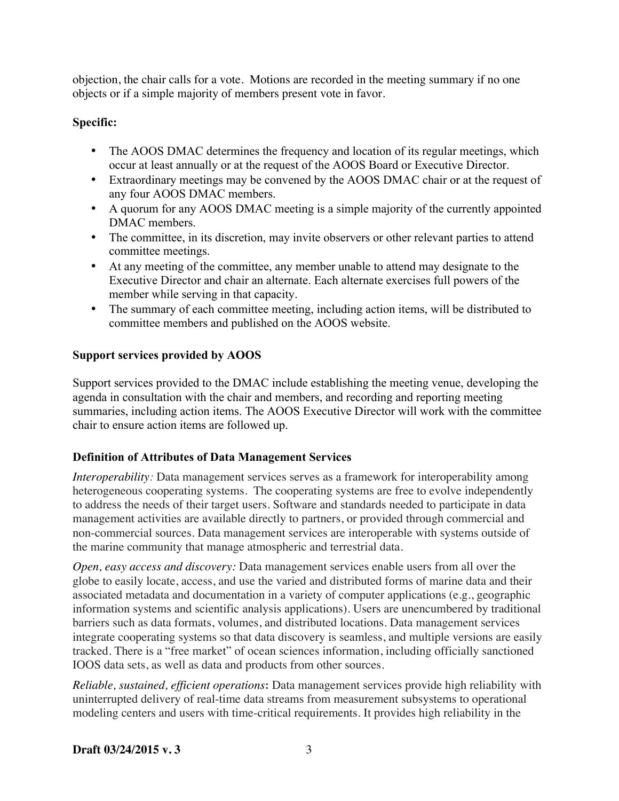objection, the chair calls for a vote. Motions are recorded in the meeting summary if no one objects or if a simple majority of members present vote in favor.

# **Specific:**

- The AOOS DMAC determines the frequency and location of its regular meetings, which occur at least annually or at the request of the AOOS Board or Executive Director.
- Extraordinary meetings may be convened by the AOOS DMAC chair or at the request of any four AOOS DMAC members.
- A quorum for any AOOS DMAC meeting is a simple majority of the currently appointed DMAC members.
- The committee, in its discretion, may invite observers or other relevant parties to attend committee meetings.
- At any meeting of the committee, any member unable to attend may designate to the Executive Director and chair an alternate. Each alternate exercises full powers of the member while serving in that capacity.
- The summary of each committee meeting, including action items, will be distributed to committee members and published on the AOOS website.

## **Support services provided by AOOS**

Support services provided to the DMAC include establishing the meeting venue, developing the agenda in consultation with the chair and members, and recording and reporting meeting summaries, including action items. The AOOS Executive Director will work with the committee chair to ensure action items are followed up.

## **Definition of Attributes of Data Management Services**

*Interoperability:* Data management services serves as a framework for interoperability among heterogeneous cooperating systems. The cooperating systems are free to evolve independently to address the needs of their target users. Software and standards needed to participate in data management activities are available directly to partners, or provided through commercial and non-commercial sources. Data management services are interoperable with systems outside of the marine community that manage atmospheric and terrestrial data.

*Open, easy access and discovery:* Data management services enable users from all over the globe to easily locate, access, and use the varied and distributed forms of marine data and their associated metadata and documentation in a variety of computer applications (e.g., geographic information systems and scientific analysis applications). Users are unencumbered by traditional barriers such as data formats, volumes, and distributed locations. Data management services integrate cooperating systems so that data discovery is seamless, and multiple versions are easily tracked. There is a "free market" of ocean sciences information, including officially sanctioned IOOS data sets, as well as data and products from other sources.

*Reliable, sustained, efficient operations***:** Data management services provide high reliability with uninterrupted delivery of real-time data streams from measurement subsystems to operational modeling centers and users with time-critical requirements. It provides high reliability in the